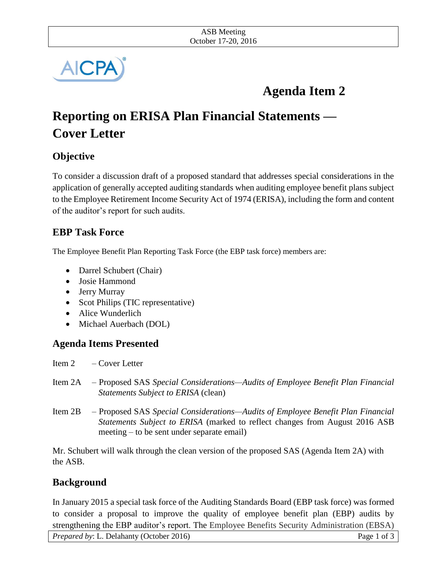

# **Agenda Item 2**

# **Reporting on ERISA Plan Financial Statements — Cover Letter**

## **Objective**

To consider a discussion draft of a proposed standard that addresses special considerations in the application of generally accepted auditing standards when auditing employee benefit plans subject to the Employee Retirement Income Security Act of 1974 (ERISA), including the form and content of the auditor's report for such audits.

## **EBP Task Force**

The Employee Benefit Plan Reporting Task Force (the EBP task force) members are:

- Darrel Schubert (Chair)
- Josie Hammond
- Jerry Murray
- Scot Philips (TIC representative)
- Alice Wunderlich
- Michael Auerbach (DOL)

## **Agenda Items Presented**

Item 2 – Cover Letter

- Item 2A Proposed SAS *Special Considerations—Audits of Employee Benefit Plan Financial Statements Subject to ERISA* (clean)
- Item 2B Proposed SAS *Special Considerations—Audits of Employee Benefit Plan Financial Statements Subject to ERISA* (marked to reflect changes from August 2016 ASB meeting – to be sent under separate email)

Mr. Schubert will walk through the clean version of the proposed SAS (Agenda Item 2A) with the ASB.

### **Background**

In January 2015 a special task force of the Auditing Standards Board (EBP task force) was formed to consider a proposal to improve the quality of employee benefit plan (EBP) audits by strengthening the EBP auditor's report. The Employee Benefits Security Administration (EBSA)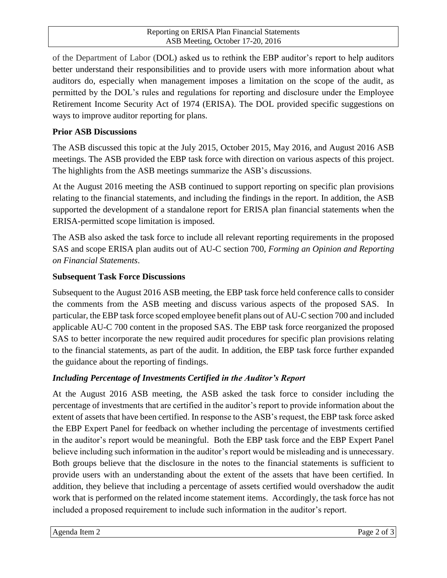of the Department of Labor (DOL) asked us to rethink the EBP auditor's report to help auditors better understand their responsibilities and to provide users with more information about what auditors do, especially when management imposes a limitation on the scope of the audit, as permitted by the DOL's rules and regulations for reporting and disclosure under the Employee Retirement Income Security Act of 1974 (ERISA). The DOL provided specific suggestions on ways to improve auditor reporting for plans.

#### **Prior ASB Discussions**

The ASB discussed this topic at the July 2015, October 2015, May 2016, and August 2016 ASB meetings. The ASB provided the EBP task force with direction on various aspects of this project. The highlights from the ASB meetings summarize the ASB's discussions.

At the August 2016 meeting the ASB continued to support reporting on specific plan provisions relating to the financial statements, and including the findings in the report. In addition, the ASB supported the development of a standalone report for ERISA plan financial statements when the ERISA-permitted scope limitation is imposed.

The ASB also asked the task force to include all relevant reporting requirements in the proposed SAS and scope ERISA plan audits out of AU-C section 700, *Forming an Opinion and Reporting on Financial Statements*.

#### **Subsequent Task Force Discussions**

Subsequent to the August 2016 ASB meeting, the EBP task force held conference calls to consider the comments from the ASB meeting and discuss various aspects of the proposed SAS. In particular, the EBP task force scoped employee benefit plans out of AU-C section 700 and included applicable AU-C 700 content in the proposed SAS. The EBP task force reorganized the proposed SAS to better incorporate the new required audit procedures for specific plan provisions relating to the financial statements, as part of the audit. In addition, the EBP task force further expanded the guidance about the reporting of findings.

### *Including Percentage of Investments Certified in the Auditor's Report*

At the August 2016 ASB meeting, the ASB asked the task force to consider including the percentage of investments that are certified in the auditor's report to provide information about the extent of assets that have been certified. In response to the ASB's request, the EBP task force asked the EBP Expert Panel for feedback on whether including the percentage of investments certified in the auditor's report would be meaningful. Both the EBP task force and the EBP Expert Panel believe including such information in the auditor's report would be misleading and is unnecessary. Both groups believe that the disclosure in the notes to the financial statements is sufficient to provide users with an understanding about the extent of the assets that have been certified. In addition, they believe that including a percentage of assets certified would overshadow the audit work that is performed on the related income statement items. Accordingly, the task force has not included a proposed requirement to include such information in the auditor's report.